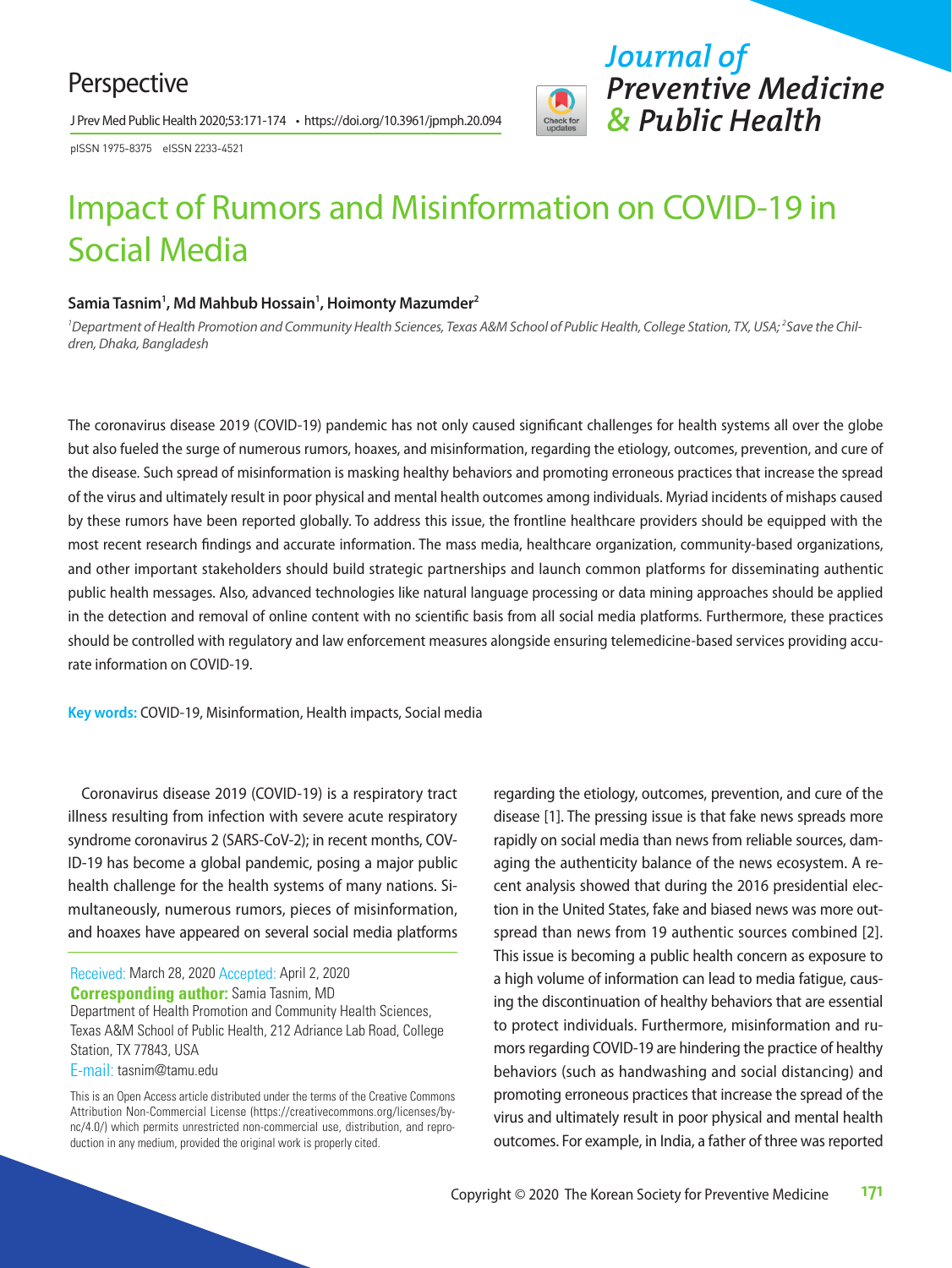## Perspective

J Prev Med Public Health 2020;53:171-174 • https://doi.org/10.3961/jpmph.20.094

pISSN 1975-8375 eISSN 2233-4521

# *Journal of Preventive Medicine & Public Health*

# Impact of Rumors and Misinformation on COVID-19 in Social Media

#### Samia Tasnim<sup>1</sup>, Md Mahbub Hossain<sup>1</sup>, Hoimonty Mazumder<sup>2</sup>

<sup>1</sup> Department of Health Promotion and Community Health Sciences, Texas A&M School of Public Health, College Station, TX, USA; <sup>2</sup>Save the Chil*dren, Dhaka, Bangladesh*

The coronavirus disease 2019 (COVID-19) pandemic has not only caused significant challenges for health systems all over the globe but also fueled the surge of numerous rumors, hoaxes, and misinformation, regarding the etiology, outcomes, prevention, and cure of the disease. Such spread of misinformation is masking healthy behaviors and promoting erroneous practices that increase the spread of the virus and ultimately result in poor physical and mental health outcomes among individuals. Myriad incidents of mishaps caused by these rumors have been reported globally. To address this issue, the frontline healthcare providers should be equipped with the most recent research findings and accurate information. The mass media, healthcare organization, community-based organizations, and other important stakeholders should build strategic partnerships and launch common platforms for disseminating authentic public health messages. Also, advanced technologies like natural language processing or data mining approaches should be applied in the detection and removal of online content with no scientific basis from all social media platforms. Furthermore, these practices should be controlled with regulatory and law enforcement measures alongside ensuring telemedicine-based services providing accurate information on COVID-19.

**Key words:** COVID-19, Misinformation, Health impacts, Social media

Coronavirus disease 2019 (COVID-19) is a respiratory tract illness resulting from infection with severe acute respiratory syndrome coronavirus 2 (SARS-CoV-2); in recent months, COV-ID-19 has become a global pandemic, posing a major public health challenge for the health systems of many nations. Simultaneously, numerous rumors, pieces of misinformation, and hoaxes have appeared on several social media platforms

Received: March 28, 2020 Accepted: April 2, 2020 **Corresponding author:** Samia Tasnim, MD Department of Health Promotion and Community Health Sciences, Texas A&M School of Public Health, 212 Adriance Lab Road, College Station, TX 77843, USA

E-mail: tasnim@tamu.edu

regarding the etiology, outcomes, prevention, and cure of the disease [1]. The pressing issue is that fake news spreads more rapidly on social media than news from reliable sources, damaging the authenticity balance of the news ecosystem. A recent analysis showed that during the 2016 presidential election in the United States, fake and biased news was more outspread than news from 19 authentic sources combined [2]. This issue is becoming a public health concern as exposure to a high volume of information can lead to media fatigue, causing the discontinuation of healthy behaviors that are essential to protect individuals. Furthermore, misinformation and rumors regarding COVID-19 are hindering the practice of healthy behaviors (such as handwashing and social distancing) and promoting erroneous practices that increase the spread of the virus and ultimately result in poor physical and mental health outcomes. For example, in India, a father of three was reported

This is an Open Access article distributed under the terms of the Creative Commons Attribution Non-Commercial License (https://creativecommons.org/licenses/bync/4.0/) which permits unrestricted non-commercial use, distribution, and reproduction in any medium, provided the original work is properly cited.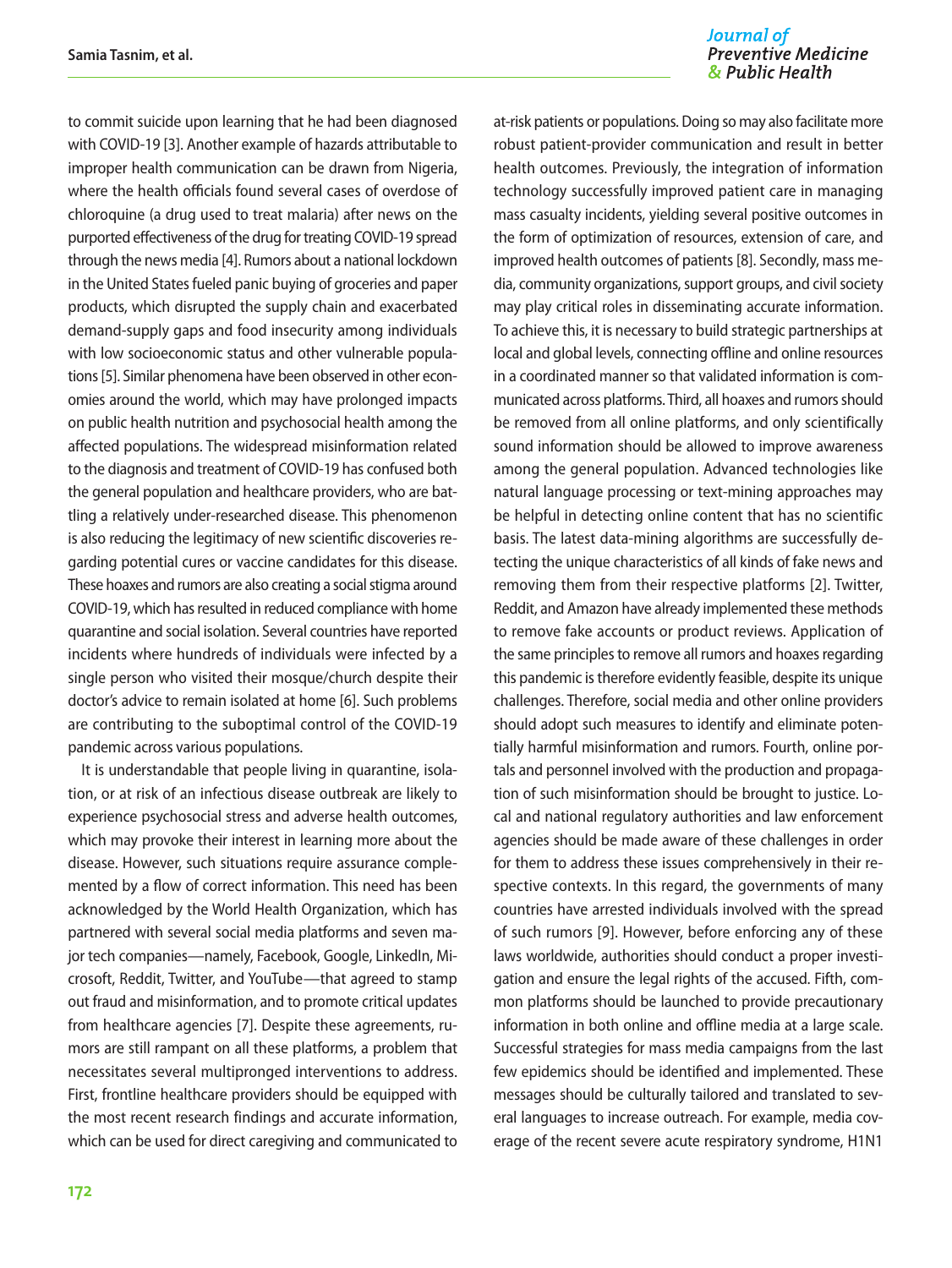Journal of **Preventive Medicine** & Public Health

to commit suicide upon learning that he had been diagnosed with COVID-19 [3]. Another example of hazards attributable to improper health communication can be drawn from Nigeria, where the health officials found several cases of overdose of chloroquine (a drug used to treat malaria) after news on the purported effectiveness of the drug for treating COVID-19 spread through the news media [4]. Rumors about a national lockdown in the United States fueled panic buying of groceries and paper products, which disrupted the supply chain and exacerbated demand-supply gaps and food insecurity among individuals with low socioeconomic status and other vulnerable populations [5]. Similar phenomena have been observed in other economies around the world, which may have prolonged impacts on public health nutrition and psychosocial health among the affected populations. The widespread misinformation related to the diagnosis and treatment of COVID-19 has confused both the general population and healthcare providers, who are battling a relatively under-researched disease. This phenomenon is also reducing the legitimacy of new scientific discoveries regarding potential cures or vaccine candidates for this disease. These hoaxes and rumors are also creating a social stigma around COVID-19, which has resulted in reduced compliance with home quarantine and social isolation. Several countries have reported incidents where hundreds of individuals were infected by a single person who visited their mosque/church despite their doctor's advice to remain isolated at home [6]. Such problems are contributing to the suboptimal control of the COVID-19 pandemic across various populations.

It is understandable that people living in quarantine, isolation, or at risk of an infectious disease outbreak are likely to experience psychosocial stress and adverse health outcomes, which may provoke their interest in learning more about the disease. However, such situations require assurance complemented by a flow of correct information. This need has been acknowledged by the World Health Organization, which has partnered with several social media platforms and seven major tech companies—namely, Facebook, Google, LinkedIn, Microsoft, Reddit, Twitter, and YouTube—that agreed to stamp out fraud and misinformation, and to promote critical updates from healthcare agencies [7]. Despite these agreements, rumors are still rampant on all these platforms, a problem that necessitates several multipronged interventions to address. First, frontline healthcare providers should be equipped with the most recent research findings and accurate information, which can be used for direct caregiving and communicated to at-risk patients or populations. Doing so may also facilitate more robust patient-provider communication and result in better health outcomes. Previously, the integration of information technology successfully improved patient care in managing mass casualty incidents, yielding several positive outcomes in the form of optimization of resources, extension of care, and improved health outcomes of patients [8]. Secondly, mass media, community organizations, support groups, and civil society may play critical roles in disseminating accurate information. To achieve this, it is necessary to build strategic partnerships at local and global levels, connecting offline and online resources in a coordinated manner so that validated information is communicated across platforms. Third, all hoaxes and rumors should be removed from all online platforms, and only scientifically sound information should be allowed to improve awareness among the general population. Advanced technologies like natural language processing or text-mining approaches may be helpful in detecting online content that has no scientific basis. The latest data-mining algorithms are successfully detecting the unique characteristics of all kinds of fake news and removing them from their respective platforms [2]. Twitter, Reddit, and Amazon have already implemented these methods to remove fake accounts or product reviews. Application of the same principles to remove all rumors and hoaxes regarding this pandemic is therefore evidently feasible, despite its unique challenges. Therefore, social media and other online providers should adopt such measures to identify and eliminate potentially harmful misinformation and rumors. Fourth, online portals and personnel involved with the production and propagation of such misinformation should be brought to justice. Local and national regulatory authorities and law enforcement agencies should be made aware of these challenges in order for them to address these issues comprehensively in their respective contexts. In this regard, the governments of many countries have arrested individuals involved with the spread of such rumors [9]. However, before enforcing any of these laws worldwide, authorities should conduct a proper investigation and ensure the legal rights of the accused. Fifth, common platforms should be launched to provide precautionary information in both online and offline media at a large scale. Successful strategies for mass media campaigns from the last few epidemics should be identified and implemented. These messages should be culturally tailored and translated to several languages to increase outreach. For example, media coverage of the recent severe acute respiratory syndrome, H1N1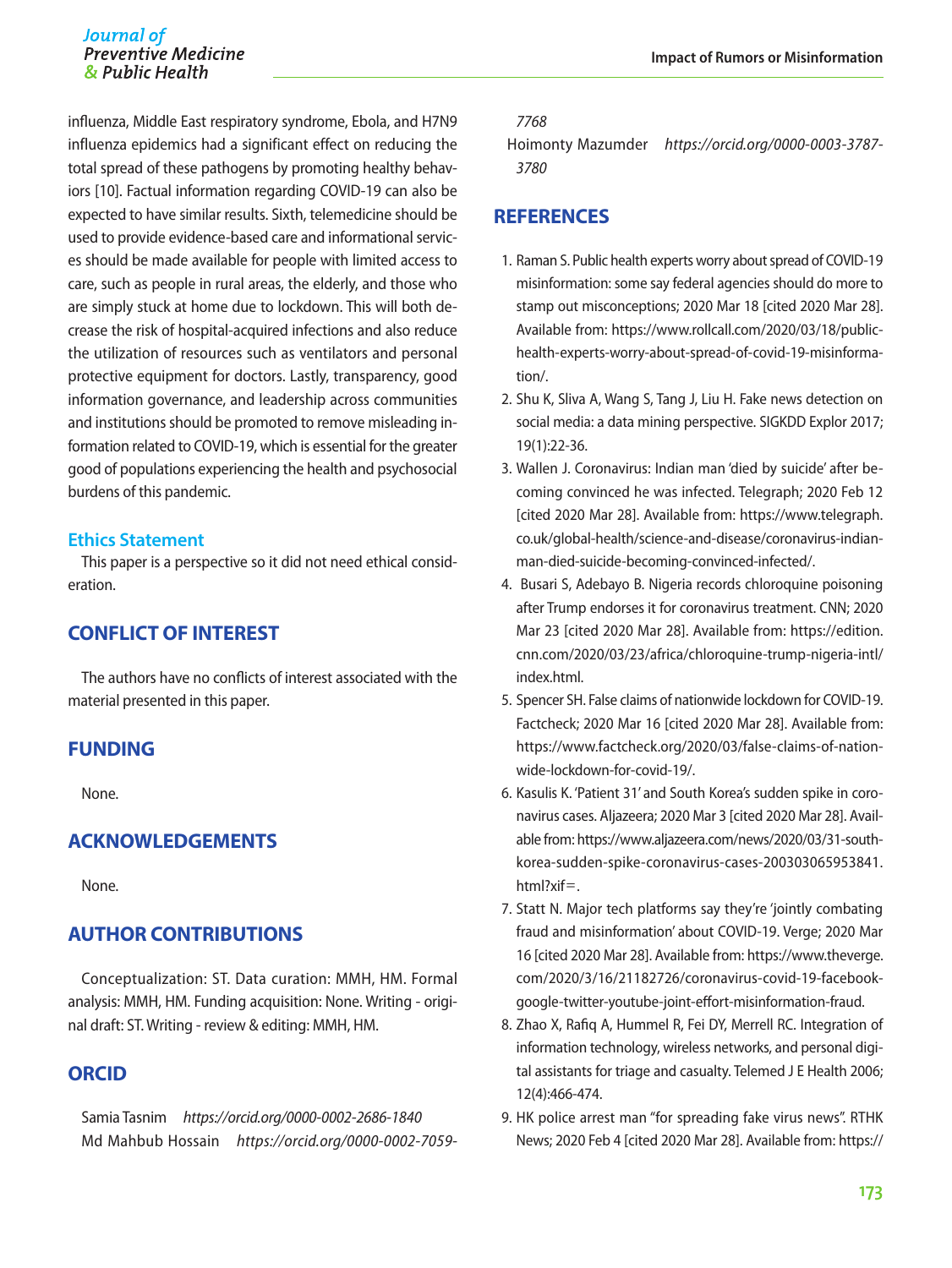influenza, Middle East respiratory syndrome, Ebola, and H7N9 influenza epidemics had a significant effect on reducing the total spread of these pathogens by promoting healthy behaviors [10]. Factual information regarding COVID-19 can also be expected to have similar results. Sixth, telemedicine should be used to provide evidence-based care and informational services should be made available for people with limited access to care, such as people in rural areas, the elderly, and those who are simply stuck at home due to lockdown. This will both decrease the risk of hospital-acquired infections and also reduce the utilization of resources such as ventilators and personal protective equipment for doctors. Lastly, transparency, good information governance, and leadership across communities and institutions should be promoted to remove misleading information related to COVID-19, which is essential for the greater good of populations experiencing the health and psychosocial burdens of this pandemic.

#### **Ethics Statement**

This paper is a perspective so it did not need ethical consideration.

### **CONFLICT OF INTEREST**

The authors have no conflicts of interest associated with the material presented in this paper.

#### **FUNDING**

None.

#### **ACKNOWLEDGEMENTS**

None.

## **AUTHOR CONTRIBUTIONS**

Conceptualization: ST. Data curation: MMH, HM. Formal analysis: MMH, HM. Funding acquisition: None. Writing - original draft: ST. Writing - review & editing: MMH, HM.

#### **ORCID**

Samia Tasnim *https://orcid.org/0000-0002-2686-1840* Md Mahbub Hossain *https://orcid.org/0000-0002-7059-*

#### *7768*

Hoimonty Mazumder *https://orcid.org/0000-0003-3787- 3780*

#### **REFERENCES**

- 1. Raman S. Public health experts worry about spread of COVID-19 misinformation: some say federal agencies should do more to stamp out misconceptions; 2020 Mar 18 [cited 2020 Mar 28]. Available from: https://www.rollcall.com/2020/03/18/publichealth-experts-worry-about-spread-of-covid-19-misinformation/.
- 2. Shu K, Sliva A, Wang S, Tang J, Liu H. Fake news detection on social media: a data mining perspective. SIGKDD Explor 2017; 19(1):22-36.
- 3. Wallen J. Coronavirus: Indian man 'died by suicide' after becoming convinced he was infected. Telegraph; 2020 Feb 12 [cited 2020 Mar 28]. Available from: https://www.telegraph. co.uk/global-health/science-and-disease/coronavirus-indianman-died-suicide-becoming-convinced-infected/.
- 4. Busari S, Adebayo B. Nigeria records chloroquine poisoning after Trump endorses it for coronavirus treatment. CNN; 2020 Mar 23 [cited 2020 Mar 28]. Available from: https://edition. cnn.com/2020/03/23/africa/chloroquine-trump-nigeria-intl/ index.html.
- 5. Spencer SH. False claims of nationwide lockdown for COVID-19. Factcheck; 2020 Mar 16 [cited 2020 Mar 28]. Available from: https://www.factcheck.org/2020/03/false-claims-of-nationwide-lockdown-for-covid-19/.
- 6. Kasulis K. 'Patient 31' and South Korea's sudden spike in coronavirus cases. Aljazeera; 2020 Mar 3 [cited 2020 Mar 28]. Available from: https://www.aljazeera.com/news/2020/03/31-southkorea-sudden-spike-coronavirus-cases-200303065953841. html?xif=.
- 7. Statt N. Major tech platforms say they're 'jointly combating fraud and misinformation' about COVID-19. Verge; 2020 Mar 16 [cited 2020 Mar 28]. Available from: https://www.theverge. com/2020/3/16/21182726/coronavirus-covid-19-facebookgoogle-twitter-youtube-joint-effort-misinformation-fraud.
- 8. Zhao X, Rafiq A, Hummel R, Fei DY, Merrell RC. Integration of information technology, wireless networks, and personal digital assistants for triage and casualty. Telemed J E Health 2006; 12(4):466-474.
- 9. HK police arrest man "for spreading fake virus news". RTHK News; 2020 Feb 4 [cited 2020 Mar 28]. Available from: https://